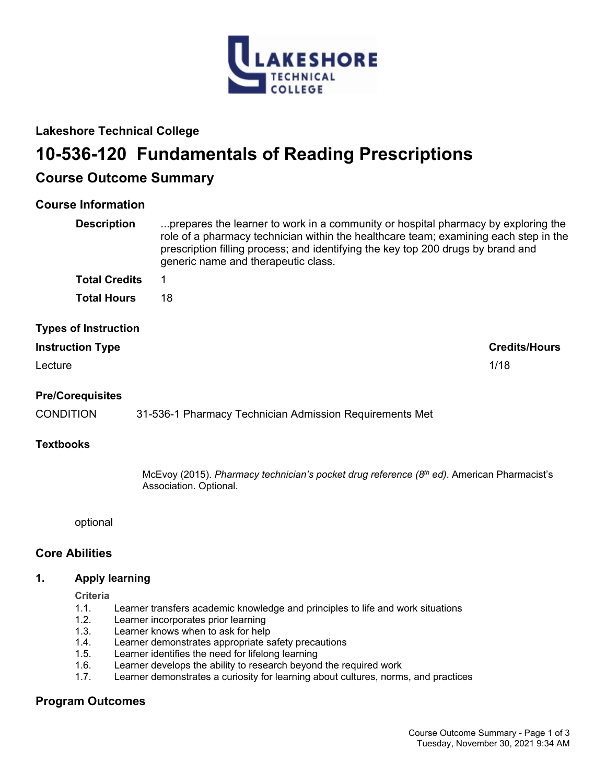

# **Lakeshore Technical College**

# **10-536-120 Fundamentals of Reading Prescriptions**

# **Course Outcome Summary**

## **Course Information**

| <b>Description</b>          | prepares the learner to work in a community or hospital pharmacy by exploring the<br>role of a pharmacy technician within the healthcare team; examining each step in the<br>prescription filling process; and identifying the key top 200 drugs by brand and<br>generic name and therapeutic class. |
|-----------------------------|------------------------------------------------------------------------------------------------------------------------------------------------------------------------------------------------------------------------------------------------------------------------------------------------------|
| <b>Total Credits</b>        |                                                                                                                                                                                                                                                                                                      |
| <b>Total Hours</b>          | 18                                                                                                                                                                                                                                                                                                   |
| <b>Types of Instruction</b> |                                                                                                                                                                                                                                                                                                      |

# **Instruction Type Credits/Hours** Lecture 2012 2022 2023 2024 2022 2022 2023 2024 2022 2023 2024 2022 2023 2024 2022 2023 2024 2022 2023 2024 20

### **Pre/Corequisites**

CONDITION 31-536-1 Pharmacy Technician Admission Requirements Met

#### **Textbooks**

McEvoy (2015). *Pharmacy technician's pocket drug reference (8th ed)*. American Pharmacist's Association. Optional.

optional

#### **Core Abilities**

#### **1. Apply learning**

**Criteria**

- 1.1. Learner transfers academic knowledge and principles to life and work situations
- 1.2. Learner incorporates prior learning<br>1.3. Learner knows when to ask for held
- Learner knows when to ask for help
- 1.4. Learner demonstrates appropriate safety precautions
- 1.5. Learner identifies the need for lifelong learning
- 1.6. Learner develops the ability to research beyond the required work
- 1.7. Learner demonstrates a curiosity for learning about cultures, norms, and practices

## **Program Outcomes**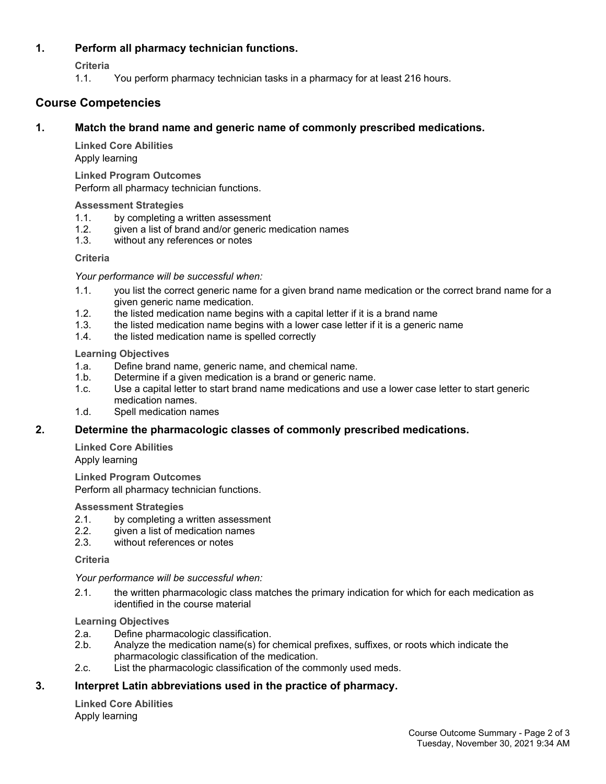#### **1. Perform all pharmacy technician functions.**

**Criteria**

1.1. You perform pharmacy technician tasks in a pharmacy for at least 216 hours.

# **Course Competencies**

#### **1. Match the brand name and generic name of commonly prescribed medications.**

**Linked Core Abilities**

Apply learning

**Linked Program Outcomes** Perform all pharmacy technician functions.

#### **Assessment Strategies**

- 1.1. by completing a written assessment
- 1.2. given a list of brand and/or generic medication names
- 1.3. without any references or notes

#### **Criteria**

*Your performance will be successful when:*

- 1.1. you list the correct generic name for a given brand name medication or the correct brand name for a given generic name medication.
- 1.2. the listed medication name begins with a capital letter if it is a brand name
- 1.3. the listed medication name begins with a lower case letter if it is a generic name
- 1.4. the listed medication name is spelled correctly

#### **Learning Objectives**

- 1.a. Define brand name, generic name, and chemical name.
- 1.b. Determine if a given medication is a brand or generic name.
- 1.c. Use a capital letter to start brand name medications and use a lower case letter to start generic medication names.
- 1.d. Spell medication names

#### **2. Determine the pharmacologic classes of commonly prescribed medications.**

**Linked Core Abilities** Apply learning

**Linked Program Outcomes** Perform all pharmacy technician functions.

#### **Assessment Strategies**

- 2.1. by completing a written assessment
- 2.2. given a list of medication names
- 2.3. without references or notes

#### **Criteria**

*Your performance will be successful when:*

2.1. the written pharmacologic class matches the primary indication for which for each medication as identified in the course material

**Learning Objectives**

- 2.a. Define pharmacologic classification.
- 2.b. Analyze the medication name(s) for chemical prefixes, suffixes, or roots which indicate the pharmacologic classification of the medication.
- 2.c. List the pharmacologic classification of the commonly used meds.

#### **3. Interpret Latin abbreviations used in the practice of pharmacy.**

**Linked Core Abilities** Apply learning